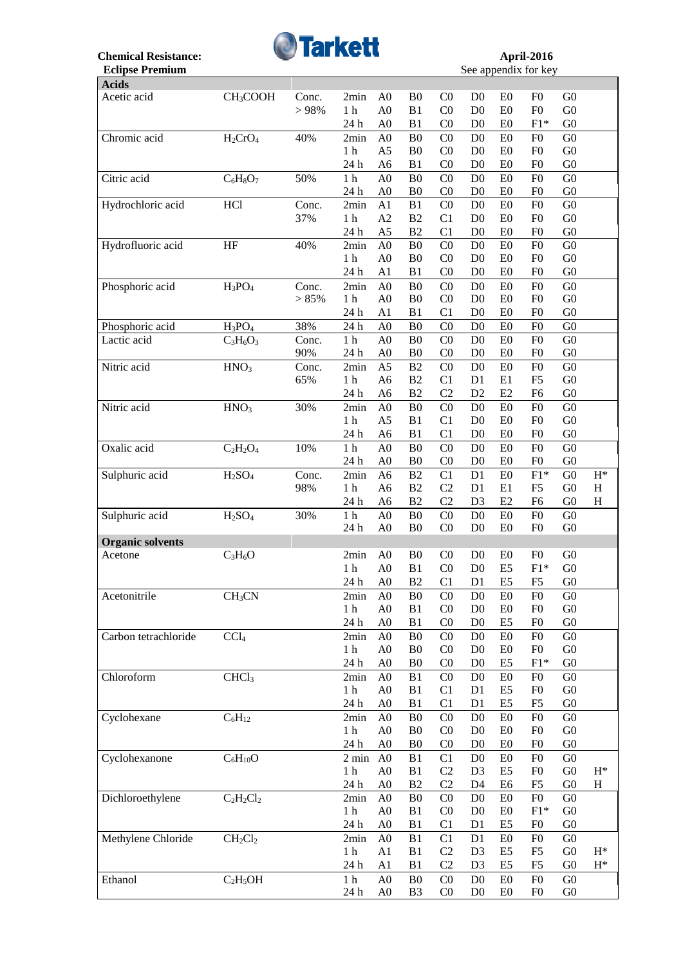

| <b>Acids</b>            |                                |              |                        |                |                                  |                                  |                                  |                      |                                  |                                  |                           |
|-------------------------|--------------------------------|--------------|------------------------|----------------|----------------------------------|----------------------------------|----------------------------------|----------------------|----------------------------------|----------------------------------|---------------------------|
| Acetic acid             | CH <sub>3</sub> COOH           | Conc.        | 2min                   | A <sub>0</sub> | B <sub>0</sub>                   | C <sub>0</sub>                   | D <sub>0</sub>                   | E0                   | F <sub>0</sub>                   | G <sub>0</sub>                   |                           |
|                         |                                | > 98%        | $1\ \mathrm{h}$        | A <sub>0</sub> | B1                               | C <sub>0</sub>                   | D <sub>0</sub>                   | E0                   | F <sub>0</sub>                   | ${\rm G0}$                       |                           |
|                         |                                |              | 24 h                   | A <sub>0</sub> | B1                               | CO                               | D <sub>0</sub>                   | E0                   | $F1*$                            | G <sub>0</sub>                   |                           |
| Chromic acid            | $H_2CrO_4$                     | 40%          | 2min                   | A <sub>0</sub> | B <sub>0</sub>                   | C <sub>0</sub>                   | D <sub>0</sub>                   | E0                   | F <sub>0</sub>                   | G <sub>0</sub>                   |                           |
|                         |                                |              | 1 <sub>h</sub>         | A <sub>5</sub> | B <sub>0</sub>                   | C <sub>0</sub>                   | D <sub>0</sub>                   | E0                   | F <sub>0</sub>                   | ${\rm G0}$                       |                           |
|                         |                                |              | 24 h                   | A <sub>6</sub> | B1                               | C <sub>0</sub>                   | D <sub>0</sub>                   | E0                   | F <sub>0</sub>                   | G <sub>0</sub>                   |                           |
| Citric acid             | $\overline{C_6H_8O_7}$         | 50%          | $1\ \mathrm{h}$        | A <sub>0</sub> | B <sub>0</sub>                   | CO                               | D <sub>0</sub>                   | E0                   | F <sub>0</sub>                   | ${\rm G0}$                       |                           |
|                         |                                |              | 24 h                   | A <sub>0</sub> | B <sub>0</sub>                   | C <sub>0</sub>                   | D <sub>0</sub>                   | E0                   | F <sub>0</sub>                   | G <sub>0</sub>                   |                           |
| Hydrochloric acid       | HCl                            | Conc.        | 2min                   | A1             | B1                               | C <sub>0</sub>                   | D <sub>0</sub>                   | E0                   | F <sub>0</sub>                   | ${\rm G0}$                       |                           |
|                         |                                | 37%          | 1 <sub>h</sub>         | A2             | B2                               | C1                               | D <sub>0</sub>                   | E0                   | F <sub>0</sub>                   | G <sub>0</sub>                   |                           |
|                         |                                |              | 24 h                   | A <sub>5</sub> | B2                               | C1                               | D <sub>0</sub>                   | E <sub>0</sub>       | F <sub>0</sub>                   | G <sub>0</sub>                   |                           |
| Hydrofluoric acid       | HF                             | 40%          | 2min                   | A <sub>0</sub> | B <sub>0</sub>                   | CO                               | D <sub>0</sub>                   | E0                   | F <sub>0</sub>                   | ${\rm G0}$                       |                           |
|                         |                                |              | 1 <sub>h</sub>         | A <sub>0</sub> | B <sub>0</sub>                   | C <sub>0</sub>                   | D <sub>0</sub>                   | E <sub>0</sub>       | F <sub>0</sub>                   | G <sub>0</sub>                   |                           |
|                         |                                |              | 24 h                   | A1             | B1                               | CO                               | D <sub>0</sub>                   | E <sub>0</sub>       | F <sub>0</sub>                   | G <sub>0</sub>                   |                           |
| Phosphoric acid         | $H_3PO_4$                      | Conc.        | 2min                   | A <sub>0</sub> | B <sub>0</sub>                   | CO                               | D <sub>0</sub>                   | E0                   | F <sub>0</sub>                   | ${\rm G0}$                       |                           |
|                         |                                | > 85%        | 1 <sub>h</sub>         | A <sub>0</sub> | B <sub>0</sub>                   | C <sub>0</sub>                   | D <sub>0</sub>                   | E <sub>0</sub>       | F <sub>0</sub>                   | G <sub>0</sub>                   |                           |
|                         |                                |              | 24 h                   | A1             | B <sub>1</sub>                   | C1                               | D <sub>0</sub>                   | E <sub>0</sub>       | F <sub>0</sub>                   | G <sub>0</sub>                   |                           |
| Phosphoric acid         | $H_3PO_4$                      | 38%          | 24 h                   | A <sub>0</sub> | B <sub>0</sub>                   | CO                               | D <sub>0</sub>                   | E0                   | F <sub>0</sub>                   | ${\rm G0}$                       |                           |
| Lactic acid             |                                |              |                        | A <sub>0</sub> |                                  |                                  |                                  |                      |                                  |                                  |                           |
|                         | $C_3H_6O_3$                    | Conc.<br>90% | 1 <sub>h</sub><br>24 h | A <sub>0</sub> | B <sub>0</sub><br>B <sub>0</sub> | C <sub>0</sub><br>C <sub>0</sub> | D <sub>0</sub><br>D <sub>0</sub> | E <sub>0</sub><br>E0 | F <sub>0</sub><br>F <sub>0</sub> | G <sub>0</sub><br>G <sub>0</sub> |                           |
| Nitric acid             | HNO <sub>3</sub>               | Conc.        | 2min                   | A <sub>5</sub> | B2                               | CO                               | D <sub>0</sub>                   | E0                   | F <sub>0</sub>                   | G <sub>0</sub>                   |                           |
|                         |                                | 65%          |                        |                | B2                               | C1                               |                                  |                      | F <sub>5</sub>                   | G <sub>0</sub>                   |                           |
|                         |                                |              | 1 <sub>h</sub>         | A <sub>6</sub> |                                  |                                  | D <sub>1</sub>                   | E1                   |                                  |                                  |                           |
|                         |                                |              | 24 h                   | A <sub>6</sub> | B2                               | C <sub>2</sub>                   | D2                               | E2                   | F <sub>6</sub>                   | G <sub>0</sub>                   |                           |
| Nitric acid             | HNO <sub>3</sub>               | 30%          | 2min                   | A <sub>0</sub> | B <sub>0</sub>                   | C <sub>0</sub>                   | D <sub>0</sub>                   | E0                   | F <sub>0</sub>                   | G <sub>0</sub>                   |                           |
|                         |                                |              | 1 <sub>h</sub>         | A <sub>5</sub> | B1                               | C1                               | D <sub>0</sub>                   | E0                   | F <sub>0</sub>                   | ${\rm G0}$                       |                           |
|                         |                                |              | 24 h                   | A <sub>6</sub> | B1                               | C1                               | D <sub>0</sub>                   | E0                   | F <sub>0</sub>                   | G <sub>0</sub>                   |                           |
| Oxalic acid             | $C_2H_2O_4$                    | 10%          | $1\ \mathrm{h}$        | A <sub>0</sub> | B <sub>0</sub>                   | CO                               | D <sub>0</sub>                   | E0                   | F <sub>0</sub>                   | ${\rm G0}$                       |                           |
|                         |                                |              | 24 h                   | A <sub>0</sub> | B <sub>0</sub>                   | C <sub>0</sub>                   | D <sub>0</sub>                   | E <sub>0</sub>       | F <sub>0</sub>                   | G <sub>0</sub>                   |                           |
| Sulphuric acid          | H <sub>2</sub> SO <sub>4</sub> | Conc.        | 2min                   | A <sub>6</sub> | B2                               | C <sub>1</sub>                   | D1                               | E0                   | $F1*$                            | ${\rm G0}$                       | $\mathbf{H}^*$            |
|                         |                                | 98%          | 1 <sub>h</sub>         | A <sub>6</sub> | B2                               | C <sub>2</sub>                   | D1                               | E1                   | F <sub>5</sub>                   | G <sub>0</sub>                   | $H_{\rm}$                 |
|                         |                                |              | 24 h                   | A <sub>6</sub> | B2                               | C2                               | D <sub>3</sub>                   | E2                   | F <sub>6</sub>                   | G <sub>0</sub>                   | $\boldsymbol{\mathrm{H}}$ |
| Sulphuric acid          | H <sub>2</sub> SO <sub>4</sub> | 30%          | 1 <sub>h</sub>         | A <sub>0</sub> | B <sub>0</sub>                   | CO                               | D <sub>0</sub>                   | E0                   | F <sub>0</sub>                   | G <sub>0</sub>                   |                           |
|                         |                                |              | 24 h                   | A <sub>0</sub> | B <sub>0</sub>                   | C <sub>0</sub>                   | D <sub>0</sub>                   | E0                   | F <sub>0</sub>                   | G <sub>0</sub>                   |                           |
| <b>Organic solvents</b> |                                |              |                        |                |                                  |                                  |                                  |                      |                                  |                                  |                           |
| Acetone                 | $C_3H_6O$                      |              | 2min                   | A <sub>0</sub> | B <sub>0</sub>                   | C <sub>0</sub>                   | D <sub>0</sub>                   | E <sub>0</sub>       | F <sub>0</sub>                   | G <sub>0</sub>                   |                           |
|                         |                                |              | 1 <sub>h</sub>         | A <sub>0</sub> | B1                               | C <sub>0</sub>                   | D <sub>0</sub>                   | E <sub>5</sub>       | $F1*$                            | G <sub>0</sub>                   |                           |
|                         |                                |              | 24 h                   | A <sub>0</sub> | B <sub>2</sub>                   | C1                               | D <sub>1</sub>                   | E <sub>5</sub>       | F <sub>5</sub>                   | G <sub>0</sub>                   |                           |
| Acetonitrile            | CH <sub>3</sub> CN             |              | 2min                   | A <sub>0</sub> | B <sub>0</sub>                   | C <sub>0</sub>                   | D <sub>0</sub>                   | E <sub>0</sub>       | F <sub>0</sub>                   | ${\rm G0}$                       |                           |
|                         |                                |              | 1 <sub>h</sub>         | A <sub>0</sub> | B1                               | C <sub>0</sub>                   | D <sub>0</sub>                   | E0                   | F <sub>0</sub>                   | G <sub>0</sub>                   |                           |
|                         |                                |              | 24 h                   | A <sub>0</sub> | B1                               | CO                               | D <sub>0</sub>                   | E <sub>5</sub>       | F <sub>0</sub>                   | G <sub>0</sub>                   |                           |
| Carbon tetrachloride    | CCl <sub>4</sub>               |              | 2min                   | A <sub>0</sub> | B <sub>0</sub>                   | C <sub>0</sub>                   | D <sub>0</sub>                   | E <sub>0</sub>       | F <sub>0</sub>                   | G <sub>0</sub>                   |                           |
|                         |                                |              | 1 <sub>h</sub>         | A <sub>0</sub> | B <sub>0</sub>                   | C <sub>0</sub>                   | D <sub>0</sub>                   | E <sub>0</sub>       | F <sub>0</sub>                   | G <sub>0</sub>                   |                           |
|                         |                                |              | 24 h                   | A <sub>0</sub> | B <sub>0</sub>                   | C <sub>0</sub>                   | D <sub>0</sub>                   | E <sub>5</sub>       | $F1*$                            | G <sub>0</sub>                   |                           |
| Chloroform              | CHCl <sub>3</sub>              |              | 2min                   | A <sub>0</sub> | B <sub>1</sub>                   | C <sub>0</sub>                   | D <sub>0</sub>                   | E <sub>0</sub>       | F <sub>0</sub>                   | G <sub>0</sub>                   |                           |
|                         |                                |              | 1 <sub>h</sub>         | A <sub>0</sub> | B1                               | C1                               | D1                               | E <sub>5</sub>       | F <sub>0</sub>                   | G <sub>0</sub>                   |                           |
|                         |                                |              | 24 h                   | A <sub>0</sub> | B1                               | C <sub>1</sub>                   | D <sub>1</sub>                   | E <sub>5</sub>       | F <sub>5</sub>                   | G <sub>0</sub>                   |                           |
| Cyclohexane             | $C_6H_{12}$                    |              | 2min                   | A <sub>0</sub> | B <sub>0</sub>                   | C <sub>0</sub>                   | D <sub>0</sub>                   | E0                   | F <sub>0</sub>                   | G <sub>0</sub>                   |                           |
|                         |                                |              | 1 <sub>h</sub>         | A <sub>0</sub> | B <sub>0</sub>                   | C <sub>0</sub>                   | D <sub>0</sub>                   | E0                   | F <sub>0</sub>                   | G <sub>0</sub>                   |                           |
|                         |                                |              | 24 h                   | A <sub>0</sub> | B <sub>0</sub>                   | C <sub>0</sub>                   | D <sub>0</sub>                   | E <sub>0</sub>       | F <sub>0</sub>                   | G <sub>0</sub>                   |                           |
| Cyclohexanone           | $C_6H_{10}O$                   |              | $2 \text{ min}$        | A <sub>0</sub> | B1                               | C1                               | D <sub>0</sub>                   | E0                   | F <sub>0</sub>                   | G <sub>0</sub>                   |                           |
|                         |                                |              | 1 <sub>h</sub>         | A <sub>0</sub> | B1                               | C2                               | D <sub>3</sub>                   | E <sub>5</sub>       | F <sub>0</sub>                   | ${\rm G0}$                       | $H^*$                     |
|                         |                                |              | 24 h                   | A <sub>0</sub> | B2                               | C2                               | D <sub>4</sub>                   | E <sub>6</sub>       | F <sub>5</sub>                   | ${\rm G0}$                       | H                         |
| Dichloroethylene        | $C_2H_2Cl_2$                   |              | 2min                   | A <sub>0</sub> | B <sub>0</sub>                   | C <sub>0</sub>                   | D <sub>0</sub>                   | E0                   | F <sub>0</sub>                   | ${\rm G0}$                       |                           |
|                         |                                |              | 1 <sub>h</sub>         | A <sub>0</sub> | B1                               | C <sub>0</sub>                   | D <sub>0</sub>                   | E <sub>0</sub>       | $F1*$                            | ${\rm G0}$                       |                           |
|                         |                                |              | 24 h                   | A <sub>0</sub> | B1                               | C1                               | D1                               | E <sub>5</sub>       | F <sub>0</sub>                   | G <sub>0</sub>                   |                           |
| Methylene Chloride      | $CH_2Cl_2$                     |              | 2min                   | A <sub>0</sub> | B1                               | C1                               | D1                               | E0                   | F <sub>0</sub>                   | G <sub>0</sub>                   |                           |
|                         |                                |              | 1 <sub>h</sub>         | A1             | B1                               | C2                               | D <sub>3</sub>                   | E <sub>5</sub>       | F <sub>5</sub>                   | ${\rm G0}$                       | $H^*$                     |
|                         |                                |              | 24 h                   | A1             | B1                               | C2                               | D <sub>3</sub>                   | E <sub>5</sub>       | F <sub>5</sub>                   | G <sub>0</sub>                   | $H^*$                     |
| Ethanol                 | $C_2H_5OH$                     |              | $1\ \mathrm{h}$        | A <sub>0</sub> | B <sub>0</sub>                   | C <sub>0</sub>                   | D <sub>0</sub>                   | E0                   | F <sub>0</sub>                   | ${\rm G0}$                       |                           |
|                         |                                |              | 24 h                   | A <sub>0</sub> | B <sub>3</sub>                   | C <sub>0</sub>                   | $\mathbf{D}0$                    | ${\rm E0}$           | F <sub>0</sub>                   | ${\rm G0}$                       |                           |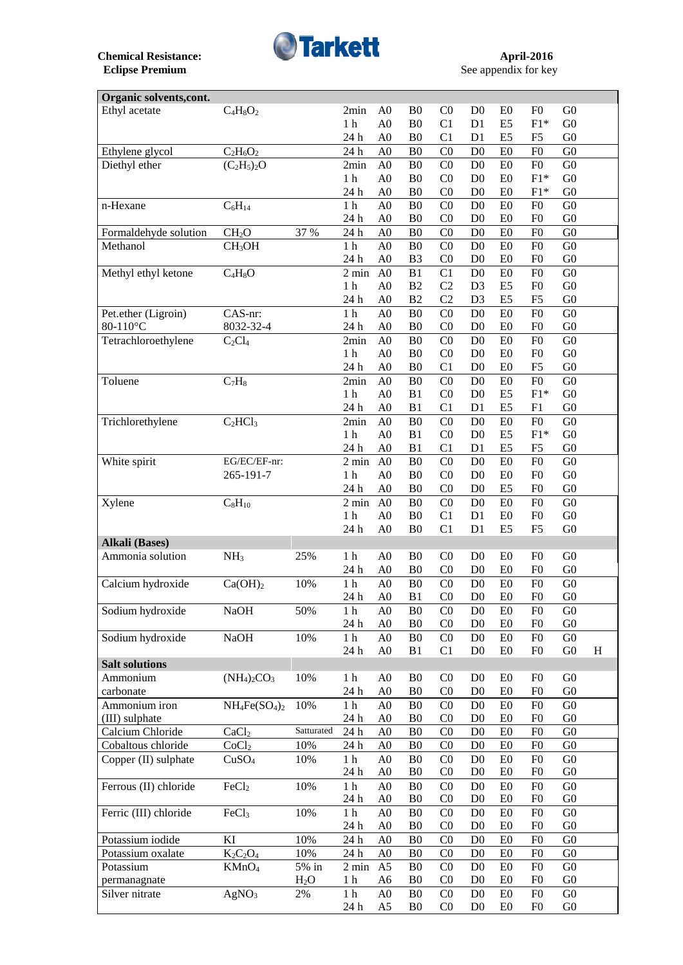

See appendix for key

| Organic solvents, cont. |                     |                  |                 |                |                |                |                                  |                                  |                |                |   |
|-------------------------|---------------------|------------------|-----------------|----------------|----------------|----------------|----------------------------------|----------------------------------|----------------|----------------|---|
| Ethyl acetate           | $C_4H_8O_2$         |                  | 2min            | A <sub>0</sub> | B <sub>0</sub> | CO             | D <sub>0</sub>                   | E <sub>0</sub>                   | F <sub>0</sub> | G <sub>0</sub> |   |
|                         |                     |                  | 1 <sub>h</sub>  | A <sub>0</sub> | B <sub>0</sub> | C1             | D1                               | E <sub>5</sub>                   | $F1*$          | G <sub>0</sub> |   |
|                         |                     |                  | 24 h            | A <sub>0</sub> | B <sub>0</sub> | C1             | D <sub>1</sub>                   | E <sub>5</sub>                   | F <sub>5</sub> | G <sub>0</sub> |   |
| Ethylene glycol         | $C_2H_6O_2$         |                  | 24 h            | A <sub>0</sub> | B <sub>0</sub> | CO             | D <sub>0</sub>                   | E <sub>0</sub>                   | F <sub>0</sub> | G <sub>0</sub> |   |
| Diethyl ether           | $(C_2H_5)_2O$       |                  | 2min            | A <sub>0</sub> | B <sub>0</sub> | CO             | D <sub>0</sub>                   | E0                               | F <sub>0</sub> | G <sub>0</sub> |   |
|                         |                     |                  | 1 <sub>h</sub>  | A <sub>0</sub> | B <sub>0</sub> | C <sub>0</sub> | D <sub>0</sub>                   | E <sub>0</sub>                   | $F1*$          | G <sub>0</sub> |   |
|                         |                     |                  | 24 h            | A <sub>0</sub> | B <sub>0</sub> | C <sub>0</sub> | D <sub>0</sub>                   | E <sub>0</sub>                   | $F1*$          | G <sub>0</sub> |   |
| n-Hexane                | $C_6H_{14}$         |                  | 1 <sub>h</sub>  | A <sub>0</sub> | B <sub>0</sub> | CO             | D <sub>0</sub>                   | E0                               | F <sub>0</sub> | G <sub>0</sub> |   |
|                         |                     |                  | 24 h            | A <sub>0</sub> | B <sub>0</sub> | C <sub>0</sub> | D <sub>0</sub>                   | E <sub>0</sub>                   | F <sub>0</sub> | G <sub>0</sub> |   |
| Formaldehyde solution   | CH <sub>2</sub> O   | 37 %             | 24 h            | A <sub>0</sub> | B <sub>0</sub> | CO             | D <sub>0</sub>                   | E <sub>0</sub>                   | F <sub>0</sub> | G <sub>0</sub> |   |
| Methanol                | CH <sub>3</sub> OH  |                  | 1 <sub>h</sub>  | A <sub>0</sub> | B <sub>0</sub> | C <sub>0</sub> | D <sub>0</sub>                   | E0                               | F <sub>0</sub> | G <sub>0</sub> |   |
|                         |                     |                  | 24 h            | A <sub>0</sub> | B <sub>3</sub> | C <sub>0</sub> | D <sub>0</sub>                   | E0                               | F <sub>0</sub> | G <sub>0</sub> |   |
| Methyl ethyl ketone     | $C_4H_8O$           |                  | $2 \text{ min}$ | A <sub>0</sub> | B1             | C <sub>1</sub> | D <sub>0</sub>                   | E <sub>0</sub>                   | F <sub>0</sub> | G <sub>0</sub> |   |
|                         |                     |                  | 1 <sub>h</sub>  | A <sub>0</sub> | B2             | C2             | D <sub>3</sub>                   | E <sub>5</sub>                   | F <sub>0</sub> | G <sub>0</sub> |   |
|                         |                     |                  | 24 h            | A <sub>0</sub> | B2             | C <sub>2</sub> | D <sub>3</sub>                   | E <sub>5</sub>                   | F <sub>5</sub> | G <sub>0</sub> |   |
| Pet.ether (Ligroin)     | CAS-nr:             |                  | $1\ \mathrm{h}$ | A <sub>0</sub> | B <sub>0</sub> | CO             | D <sub>0</sub>                   | E0                               | F <sub>0</sub> | G <sub>0</sub> |   |
| 80-110°C                | 8032-32-4           |                  | 24 h            | A <sub>0</sub> | B <sub>0</sub> | C <sub>0</sub> | D <sub>0</sub>                   | E0                               | F <sub>0</sub> | G <sub>0</sub> |   |
|                         |                     |                  | 2min            |                |                |                |                                  |                                  | F <sub>0</sub> | G <sub>0</sub> |   |
| Tetrachloroethylene     | $C_2Cl_4$           |                  |                 | A <sub>0</sub> | B <sub>0</sub> | C <sub>0</sub> | D <sub>0</sub>                   | E0                               |                |                |   |
|                         |                     |                  | 1 <sub>h</sub>  | A <sub>0</sub> | B <sub>0</sub> | CO             | D <sub>0</sub>                   | E0                               | F <sub>0</sub> | G <sub>0</sub> |   |
|                         |                     |                  | 24 h            | A <sub>0</sub> | B <sub>0</sub> | C1             | D <sub>0</sub>                   | E0                               | F <sub>5</sub> | G <sub>0</sub> |   |
| Toluene                 | $C_7H_8$            |                  | 2min            | A <sub>0</sub> | B <sub>0</sub> | CO             | D <sub>0</sub>                   | E0                               | F <sub>0</sub> | G <sub>0</sub> |   |
|                         |                     |                  | 1 <sub>h</sub>  | A <sub>0</sub> | B1             | C <sub>0</sub> | D <sub>0</sub>                   | E <sub>5</sub>                   | $F1*$          | G <sub>0</sub> |   |
|                         |                     |                  | 24 h            | A <sub>0</sub> | B1             | C1             | D <sub>1</sub>                   | E <sub>5</sub>                   | F1             | G <sub>0</sub> |   |
| Trichlorethylene        | $C_2HCl_3$          |                  | 2min            | A <sub>0</sub> | B <sub>0</sub> | CO             | D <sub>0</sub>                   | E <sub>0</sub>                   | F <sub>0</sub> | G <sub>0</sub> |   |
|                         |                     |                  | 1 <sub>h</sub>  | A <sub>0</sub> | B1             | CO             | D <sub>0</sub>                   | E <sub>5</sub>                   | $F1*$          | G <sub>0</sub> |   |
|                         |                     |                  | 24 h            | A <sub>0</sub> | B <sub>1</sub> | C1             | D <sub>1</sub>                   | E <sub>5</sub>                   | F <sub>5</sub> | G <sub>0</sub> |   |
| White spirit            | EG/EC/EF-nr:        |                  | $2 \text{ min}$ | A <sub>0</sub> | B <sub>0</sub> | CO             | D <sub>0</sub>                   | E0                               | F <sub>0</sub> | G <sub>0</sub> |   |
|                         | 265-191-7           |                  | 1 <sub>h</sub>  | A <sub>0</sub> | B <sub>0</sub> | CO             | D <sub>0</sub>                   | E <sub>0</sub>                   | F <sub>0</sub> | G <sub>0</sub> |   |
|                         |                     |                  | 24 h            | A <sub>0</sub> | B <sub>0</sub> | C <sub>0</sub> | D <sub>0</sub>                   | E <sub>5</sub>                   | F <sub>0</sub> | G <sub>0</sub> |   |
| Xylene                  | $C_8H_{10}$         |                  | $2 \text{ min}$ | A <sub>0</sub> | B <sub>0</sub> | C <sub>0</sub> | D <sub>0</sub>                   | E0                               | F <sub>0</sub> | G <sub>0</sub> |   |
|                         |                     |                  | 1 <sub>h</sub>  | A <sub>0</sub> | B <sub>0</sub> | C1             | D <sub>1</sub>                   | E <sub>0</sub>                   | F <sub>0</sub> | G <sub>0</sub> |   |
|                         |                     |                  | 24 h            | A <sub>0</sub> | B <sub>0</sub> | C1             | D <sub>1</sub>                   | E <sub>5</sub>                   | F <sub>5</sub> | G <sub>0</sub> |   |
| <b>Alkali</b> (Bases)   |                     |                  |                 |                |                |                |                                  |                                  |                |                |   |
| Ammonia solution        | NH <sub>3</sub>     | 25%              | 1 <sub>h</sub>  | A <sub>0</sub> | B <sub>0</sub> | C <sub>0</sub> | D <sub>0</sub>                   | E <sub>0</sub>                   | F <sub>0</sub> | G <sub>0</sub> |   |
|                         |                     |                  | 24 h            | A <sub>0</sub> | B <sub>0</sub> | C <sub>0</sub> | D <sub>0</sub>                   | E <sub>0</sub>                   | F <sub>0</sub> | G <sub>0</sub> |   |
| Calcium hydroxide       | Ca(OH) <sub>2</sub> | 10%              | 1 <sub>h</sub>  | A <sub>0</sub> | B <sub>0</sub> | C <sub>0</sub> | D <sub>0</sub>                   | E <sub>0</sub>                   | F <sub>0</sub> | G <sub>0</sub> |   |
|                         |                     |                  | 24 h            | A <sub>0</sub> | B <sub>1</sub> | CO             | D <sub>0</sub>                   | ${\rm E0}$                       | F <sub>0</sub> | G <sub>0</sub> |   |
| Sodium hydroxide        | <b>NaOH</b>         | 50%              | 1 <sub>h</sub>  | A <sub>0</sub> | B <sub>0</sub> | $_{\rm C0}$    | D <sub>0</sub>                   | E <sub>0</sub>                   | F <sub>0</sub> | G <sub>0</sub> |   |
|                         |                     |                  | 24 h            | A <sub>0</sub> | B <sub>0</sub> | C <sub>0</sub> | D <sub>0</sub>                   | E0                               | F <sub>0</sub> | G <sub>0</sub> |   |
| Sodium hydroxide        | <b>NaOH</b>         | 10%              | 1 <sub>h</sub>  | A <sub>0</sub> | B <sub>0</sub> | C <sub>0</sub> | D <sub>0</sub>                   | E0                               | F <sub>0</sub> | G <sub>0</sub> |   |
|                         |                     |                  | 24 h            | A <sub>0</sub> | B1             | C1             | D <sub>0</sub>                   | E0                               | F <sub>0</sub> | ${\rm G0}$     | H |
| <b>Salt solutions</b>   |                     |                  |                 |                |                |                |                                  |                                  |                |                |   |
| Ammonium                | $(NH4)2CO3$         | 10%              | $1\ \mathrm{h}$ | A <sub>0</sub> | B <sub>0</sub> | C <sub>0</sub> | D <sub>0</sub>                   | E <sub>0</sub>                   | F <sub>0</sub> | G <sub>0</sub> |   |
| carbonate               |                     |                  | 24 h            | A <sub>0</sub> | B <sub>0</sub> | C <sub>0</sub> | D <sub>0</sub>                   | E0                               | F <sub>0</sub> | G <sub>0</sub> |   |
| Ammonium iron           | $NH_4Fe(SO_4)_2$    | 10%              | $1\ \mathrm{h}$ | A <sub>0</sub> | B <sub>0</sub> | C <sub>0</sub> | D <sub>0</sub>                   | E0                               | F <sub>0</sub> | G <sub>0</sub> |   |
| (III) sulphate          |                     |                  | 24 h            | A <sub>0</sub> | B <sub>0</sub> | C <sub>0</sub> | D <sub>0</sub>                   | E <sub>0</sub>                   | F <sub>0</sub> | G <sub>0</sub> |   |
| Calcium Chloride        | CaCl <sub>2</sub>   | Satturated       | 24 h            | A <sub>0</sub> | B <sub>0</sub> | CO             | D <sub>0</sub>                   | E0                               | F <sub>0</sub> | G <sub>0</sub> |   |
| Cobaltous chloride      | CoCl <sub>2</sub>   | 10%              | 24 h            | A <sub>0</sub> | B <sub>0</sub> | C <sub>0</sub> | D <sub>0</sub>                   | E0                               | F <sub>0</sub> | ${\rm G0}$     |   |
| Copper (II) sulphate    | CuSO <sub>4</sub>   | 10%              | $1\ \mathrm{h}$ | A <sub>0</sub> | B <sub>0</sub> | CO             | D <sub>0</sub>                   | E0                               | F <sub>0</sub> | G <sub>0</sub> |   |
|                         |                     |                  | 24 h            | A <sub>0</sub> | B <sub>0</sub> | C <sub>0</sub> | D <sub>0</sub>                   | E0                               | F <sub>0</sub> | G <sub>0</sub> |   |
| Ferrous (II) chloride   | FeCl <sub>2</sub>   | 10%              | $1\ \mathrm{h}$ | A <sub>0</sub> | B <sub>0</sub> | C <sub>0</sub> |                                  |                                  | F <sub>0</sub> | G <sub>0</sub> |   |
|                         |                     |                  | 24 h            | A <sub>0</sub> | B <sub>0</sub> | C <sub>0</sub> | D <sub>0</sub><br>D <sub>0</sub> | E <sub>0</sub><br>E <sub>0</sub> | F <sub>0</sub> | G <sub>0</sub> |   |
|                         |                     |                  |                 |                |                |                |                                  |                                  |                |                |   |
| Ferric (III) chloride   | FeCl <sub>3</sub>   | 10%              | $1\ \mathrm{h}$ | A <sub>0</sub> | B <sub>0</sub> | C <sub>0</sub> | D <sub>0</sub>                   | E0                               | F <sub>0</sub> | G <sub>0</sub> |   |
|                         |                     |                  | 24 h            | A <sub>0</sub> | B <sub>0</sub> | C <sub>0</sub> | D <sub>0</sub>                   | E <sub>0</sub>                   | F <sub>0</sub> | G <sub>0</sub> |   |
| Potassium iodide        | KI                  | 10%              | 24 h            | A <sub>0</sub> | B <sub>0</sub> | C <sub>0</sub> | D <sub>0</sub>                   | E <sub>0</sub>                   | F <sub>0</sub> | G <sub>0</sub> |   |
| Potassium oxalate       | $K_2C_2O_4$         | 10%              | 24 h            | A <sub>0</sub> | B <sub>0</sub> | C <sub>0</sub> | D <sub>0</sub>                   | E <sub>0</sub>                   | F <sub>0</sub> | G <sub>0</sub> |   |
| Potassium               | KMnO <sub>4</sub>   | 5% in            | $2 \text{ min}$ | A <sub>5</sub> | B <sub>0</sub> | C <sub>0</sub> | D <sub>0</sub>                   | E0                               | F <sub>0</sub> | G <sub>0</sub> |   |
| permanagnate            |                     | H <sub>2</sub> O | 1 <sub>h</sub>  | A <sub>6</sub> | B <sub>0</sub> | C <sub>0</sub> | D <sub>0</sub>                   | E <sub>0</sub>                   | F <sub>0</sub> | G <sub>0</sub> |   |
| Silver nitrate          | AgNO <sub>3</sub>   | 2%               | 1 <sub>h</sub>  | A <sub>0</sub> | B <sub>0</sub> | C <sub>0</sub> | D <sub>0</sub>                   | E0                               | F <sub>0</sub> | G <sub>0</sub> |   |
|                         |                     |                  | 24 h            | A <sub>5</sub> | B <sub>0</sub> | C <sub>0</sub> | D <sub>0</sub>                   | E <sub>0</sub>                   | F <sub>0</sub> | G <sub>0</sub> |   |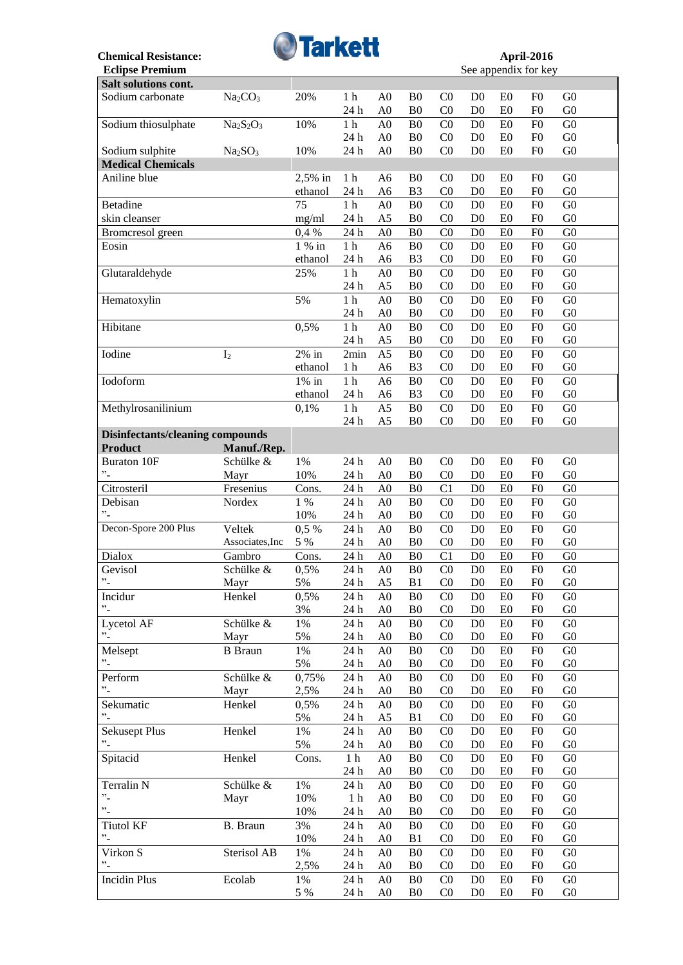

See appendix for key

| Salt solutions cont.                    |                                 |          |                  |                |                |                |                |                |                |                |
|-----------------------------------------|---------------------------------|----------|------------------|----------------|----------------|----------------|----------------|----------------|----------------|----------------|
| Sodium carbonate                        | Na <sub>2</sub> CO <sub>3</sub> | 20%      | 1 <sub>h</sub>   | A <sub>0</sub> | B <sub>0</sub> | CO             | D <sub>0</sub> | E <sub>0</sub> | F <sub>0</sub> | G <sub>0</sub> |
|                                         |                                 |          | 24 h             | A <sub>0</sub> | B <sub>0</sub> | CO             | D <sub>0</sub> | E <sub>0</sub> | F <sub>0</sub> | G <sub>0</sub> |
| Sodium thiosulphate                     | $Na2S2O3$                       | 10%      | $1\ \mathrm{h}$  | A <sub>0</sub> | B <sub>0</sub> | C <sub>0</sub> | D <sub>0</sub> | E0             | F <sub>0</sub> | G <sub>0</sub> |
|                                         |                                 |          | 24 h             | A <sub>0</sub> | B <sub>0</sub> | CO             | D <sub>0</sub> | E0             | F <sub>0</sub> | G <sub>0</sub> |
|                                         | Na <sub>2</sub> SO <sub>3</sub> | 10%      | 24 h             | A <sub>0</sub> | B <sub>0</sub> | CO             | D <sub>0</sub> | E0             | F <sub>0</sub> | ${\rm G0}$     |
| Sodium sulphite                         |                                 |          |                  |                |                |                |                |                |                |                |
| <b>Medical Chemicals</b>                |                                 |          |                  |                |                |                |                |                |                |                |
| Aniline blue                            |                                 | 2,5% in  | 1 <sub>h</sub>   | A <sub>6</sub> | B <sub>0</sub> | CO             | D <sub>0</sub> | E <sub>0</sub> | F <sub>0</sub> | G <sub>0</sub> |
|                                         |                                 | ethanol  | 24 h             | A <sub>6</sub> | B <sub>3</sub> | CO             | D <sub>0</sub> | E <sub>0</sub> | F <sub>0</sub> | G <sub>0</sub> |
| Betadine                                |                                 | 75       | $1\ \mathrm{h}$  | A <sub>0</sub> | B <sub>0</sub> | CO             | D <sub>0</sub> | E0             | F <sub>0</sub> | ${\rm G0}$     |
| skin cleanser                           |                                 | mg/ml    | 24 h             | A <sub>5</sub> | B <sub>0</sub> | CO             | D <sub>0</sub> | E <sub>0</sub> | F <sub>0</sub> | G <sub>0</sub> |
| Bromcresol green                        |                                 | 0,4%     | 24 h             | A <sub>0</sub> | B <sub>0</sub> | C <sub>0</sub> | D <sub>0</sub> | E0             | F <sub>0</sub> | G <sub>0</sub> |
| Eosin                                   |                                 | 1 % in   | $1\ \mathrm{h}$  | A <sub>6</sub> | B <sub>0</sub> | CO             | D <sub>0</sub> | E <sub>0</sub> | F <sub>0</sub> | G <sub>0</sub> |
|                                         |                                 | ethanol  | 24 h             | A <sub>6</sub> | B <sub>3</sub> | C <sub>0</sub> | D <sub>0</sub> | E <sub>0</sub> | F <sub>0</sub> | G <sub>0</sub> |
|                                         |                                 |          |                  |                |                |                |                |                |                |                |
| Glutaraldehyde                          |                                 | 25%      | $1\ \mathrm{h}$  | A <sub>0</sub> | B <sub>0</sub> | CO             | D <sub>0</sub> | E0             | F <sub>0</sub> | G <sub>0</sub> |
|                                         |                                 |          | 24 h             | A <sub>5</sub> | B <sub>0</sub> | C <sub>0</sub> | D <sub>0</sub> | E <sub>0</sub> | F <sub>0</sub> | G <sub>0</sub> |
| Hematoxylin                             |                                 | 5%       | $1\ \mathrm{h}$  | A <sub>0</sub> | B <sub>0</sub> | CO             | D <sub>0</sub> | E0             | F <sub>0</sub> | G <sub>0</sub> |
|                                         |                                 |          | 24 h             | A <sub>0</sub> | B <sub>0</sub> | C <sub>0</sub> | D <sub>0</sub> | E <sub>0</sub> | F <sub>0</sub> | G <sub>0</sub> |
| Hibitane                                |                                 | 0,5%     | $1\ \mathrm{h}$  | A <sub>0</sub> | B <sub>0</sub> | CO             | D <sub>0</sub> | E0             | F <sub>0</sub> | G <sub>0</sub> |
|                                         |                                 |          | 24 h             | A <sub>5</sub> | B <sub>0</sub> | C <sub>0</sub> | D <sub>0</sub> | E <sub>0</sub> | F <sub>0</sub> | G <sub>0</sub> |
| Iodine                                  | I <sub>2</sub>                  | $2\%$ in | 2min             | A <sub>5</sub> | B <sub>0</sub> | CO             | D <sub>0</sub> | E0             | F <sub>0</sub> | G <sub>0</sub> |
|                                         |                                 | ethanol  | 1 h              | A <sub>6</sub> | B <sub>3</sub> | C <sub>0</sub> | D <sub>0</sub> | E <sub>0</sub> | F <sub>0</sub> | G <sub>0</sub> |
|                                         |                                 |          |                  |                |                |                |                |                |                |                |
| Iodoform                                |                                 | $1\%$ in | $1\ \mathrm{h}$  | A <sub>6</sub> | B <sub>0</sub> | CO             | D <sub>0</sub> | E0             | F <sub>0</sub> | G <sub>0</sub> |
|                                         |                                 | ethanol  | 24 h             | A <sub>6</sub> | B <sub>3</sub> | C <sub>0</sub> | D <sub>0</sub> | E0             | F <sub>0</sub> | ${\rm G0}$     |
| Methylrosanilinium                      |                                 | 0,1%     | $1\ \mathrm{h}$  | A <sub>5</sub> | B <sub>0</sub> | CO             | D <sub>0</sub> | E0             | F <sub>0</sub> | ${\rm G0}$     |
|                                         |                                 |          | 24 h             | A <sub>5</sub> | B <sub>0</sub> | CO             | D <sub>0</sub> | E0             | F <sub>0</sub> | G <sub>0</sub> |
| <b>Disinfectants/cleaning compounds</b> |                                 |          |                  |                |                |                |                |                |                |                |
| <b>Product</b>                          | Manuf./Rep.                     |          |                  |                |                |                |                |                |                |                |
| <b>Buraton 10F</b>                      | Schülke &                       | $1\%$    | 24 h             | A <sub>0</sub> | B <sub>0</sub> | C <sub>0</sub> | D <sub>0</sub> | E <sub>0</sub> | F <sub>0</sub> | G <sub>0</sub> |
| $"$ -                                   | Mayr                            | 10%      | 24 h             | A <sub>0</sub> | B <sub>0</sub> | CO             | D <sub>0</sub> | E0             | F <sub>0</sub> | G <sub>0</sub> |
| Citrosteril                             | Fresenius                       | Cons.    | 24 h             | A <sub>0</sub> | B <sub>0</sub> | C <sub>1</sub> | D <sub>0</sub> | E0             | F <sub>0</sub> | ${\rm G0}$     |
| Debisan                                 |                                 | 1 %      | 24 h             |                |                |                |                |                |                |                |
| $\ddot{\phantom{0}}$                    | Nordex                          |          |                  | A <sub>0</sub> | B <sub>0</sub> | CO             | D <sub>0</sub> | E <sub>0</sub> | F <sub>0</sub> | G <sub>0</sub> |
|                                         |                                 | 10%      | 24 h             | A <sub>0</sub> | B <sub>0</sub> | CO             | D <sub>0</sub> | E0             | F <sub>0</sub> | G <sub>0</sub> |
| Decon-Spore 200 Plus                    | Veltek                          | 0,5 %    | 24 h             | A <sub>0</sub> | B <sub>0</sub> | C <sub>0</sub> | D <sub>0</sub> | E0             | F <sub>0</sub> | G <sub>0</sub> |
|                                         | Associates, Inc                 | 5 %      | 24 h             | A <sub>0</sub> | B <sub>0</sub> | CO             | D <sub>0</sub> | E0             | F <sub>0</sub> | G <sub>0</sub> |
| Dialox                                  | Gambro                          | Cons.    | 24 h             | A <sub>0</sub> | ${\bf B0}$     | C1             | D <sub>0</sub> | E <sub>0</sub> | F <sub>0</sub> | ${\rm G0}$     |
| Gevisol                                 | Schülke &                       | 0,5%     | 24 h             | A <sub>0</sub> | B <sub>0</sub> | C <sub>0</sub> | D <sub>0</sub> | E <sub>0</sub> | F <sub>0</sub> | G <sub>0</sub> |
| $\cdot$ $\cdot$                         | Mayr                            | 5%       | 24 h             | A <sub>5</sub> | B1             | CO             | D <sub>0</sub> | E <sub>0</sub> | F <sub>0</sub> | G <sub>0</sub> |
| Incidur                                 | Henkel                          | 0,5%     | $24\ \mathrm{h}$ | A <sub>0</sub> | B <sub>0</sub> | C <sub>0</sub> | D <sub>0</sub> | E <sub>0</sub> | ${\rm F}0$     | G <sub>0</sub> |
| $\cdot$                                 |                                 | 3%       | 24 h             | A <sub>0</sub> | B <sub>0</sub> | C <sub>0</sub> | D <sub>0</sub> | E <sub>0</sub> | F <sub>0</sub> | ${\rm G0}$     |
| Lycetol AF                              | Schülke &                       | $1\%$    | 24 h             | A <sub>0</sub> | B <sub>0</sub> | C <sub>0</sub> | D <sub>0</sub> | E <sub>0</sub> | F <sub>0</sub> | ${\rm G0}$     |
| $^{\prime\prime}$ -                     |                                 |          |                  |                |                |                |                |                |                |                |
|                                         | Mayr                            | 5%       | 24 h             | A <sub>0</sub> | B <sub>0</sub> | C <sub>0</sub> | D <sub>0</sub> | E <sub>0</sub> | F <sub>0</sub> | G <sub>0</sub> |
| Melsept                                 | <b>B</b> Braun                  | $1\%$    | 24 h             | A <sub>0</sub> | B <sub>0</sub> | C <sub>0</sub> | D <sub>0</sub> | E0             | F <sub>0</sub> | ${\rm G0}$     |
| $^{\prime\prime}$ -                     |                                 | 5%       | 24 h             | A <sub>0</sub> | B <sub>0</sub> | C <sub>0</sub> | D <sub>0</sub> | E <sub>0</sub> | F <sub>0</sub> | G <sub>0</sub> |
| Perform                                 | Schülke &                       | 0,75%    | 24 h             | A <sub>0</sub> | B <sub>0</sub> | C <sub>0</sub> | D <sub>0</sub> | E <sub>0</sub> | F <sub>0</sub> | G <sub>0</sub> |
| $\cdot$                                 | Mayr                            | 2,5%     | 24 h             | A <sub>0</sub> | B <sub>0</sub> | C <sub>0</sub> | D <sub>0</sub> | E <sub>0</sub> | F <sub>0</sub> | G <sub>0</sub> |
| Sekumatic                               | Henkel                          | 0,5%     | $24\ \mathrm{h}$ | A <sub>0</sub> | B <sub>0</sub> | CO             | D <sub>0</sub> | E0             | F <sub>0</sub> | G <sub>0</sub> |
| $\cdot$ <sup>2</sup>                    |                                 | 5%       | 24 h             | A <sub>5</sub> | B1             | C <sub>0</sub> | D <sub>0</sub> | E <sub>0</sub> | F <sub>0</sub> | ${\rm G0}$     |
| <b>Sekusept Plus</b>                    | Henkel                          | $1\%$    | 24 h             | A <sub>0</sub> | B <sub>0</sub> | C <sub>0</sub> | D <sub>0</sub> | E <sub>0</sub> | F <sub>0</sub> | G <sub>0</sub> |
| $^{\prime\prime}$ .                     |                                 | 5%       | 24 h             | A <sub>0</sub> | B <sub>0</sub> | C <sub>0</sub> | D <sub>0</sub> | E0             | F <sub>0</sub> | ${\rm G0}$     |
| Spitacid                                | Henkel                          | Cons.    | 1 <sub>h</sub>   | A <sub>0</sub> | B <sub>0</sub> | C <sub>0</sub> | D <sub>0</sub> | E0             | F <sub>0</sub> | ${\rm G0}$     |
|                                         |                                 |          |                  |                |                |                |                |                |                |                |
|                                         |                                 |          | 24 h             | A <sub>0</sub> | B <sub>0</sub> | C <sub>0</sub> | D <sub>0</sub> | E0             | F <sub>0</sub> | ${\rm G0}$     |
| Terralin N                              | Schülke &                       | $1\%$    | 24 h             | A <sub>0</sub> | B <sub>0</sub> | C <sub>0</sub> | D <sub>0</sub> | E0             | ${\rm F}0$     | ${\rm G0}$     |
| $\cdot$                                 | Mayr                            | 10%      | $1\ \mathrm{h}$  | A <sub>0</sub> | B <sub>0</sub> | C <sub>0</sub> | D <sub>0</sub> | E0             | F <sub>0</sub> | ${\rm G0}$     |
| $\ddot{\phantom{0}}$                    |                                 | 10%      | 24 h             | A <sub>0</sub> | B <sub>0</sub> | C <sub>0</sub> | D <sub>0</sub> | E <sub>0</sub> | F <sub>0</sub> | ${\rm G0}$     |
| <b>Tiutol KF</b>                        | <b>B.</b> Braun                 | 3%       | 24 h             | A <sub>0</sub> | B <sub>0</sub> | C <sub>0</sub> | D <sub>0</sub> | E <sub>0</sub> | F <sub>0</sub> | ${\rm G0}$     |
| $\ddot{\phantom{0}}$                    |                                 | 10%      | 24 h             | A <sub>0</sub> | B1             | C <sub>0</sub> | D <sub>0</sub> | E <sub>0</sub> | F <sub>0</sub> | ${\rm G0}$     |
| Virkon S                                | Sterisol AB                     | 1%       | 24 h             | A <sub>0</sub> | B <sub>0</sub> | CO             | D <sub>0</sub> | E0             | F <sub>0</sub> | ${\rm G0}$     |
| $"$ -                                   |                                 | 2,5%     |                  | A <sub>0</sub> | B <sub>0</sub> | C <sub>0</sub> | D <sub>0</sub> | E <sub>0</sub> | F <sub>0</sub> | ${\rm G0}$     |
|                                         |                                 |          | 24 h             |                |                |                |                |                |                |                |
| <b>Incidin Plus</b>                     | Ecolab                          | 1%       | 24 h             | A <sub>0</sub> | B <sub>0</sub> | C <sub>0</sub> | D <sub>0</sub> | E <sub>0</sub> | F <sub>0</sub> | ${\rm G0}$     |
|                                         |                                 | 5 %      | 24 h             | A <sub>0</sub> | B <sub>0</sub> | C <sub>0</sub> | D <sub>0</sub> | E0             | F <sub>0</sub> | G <sub>0</sub> |